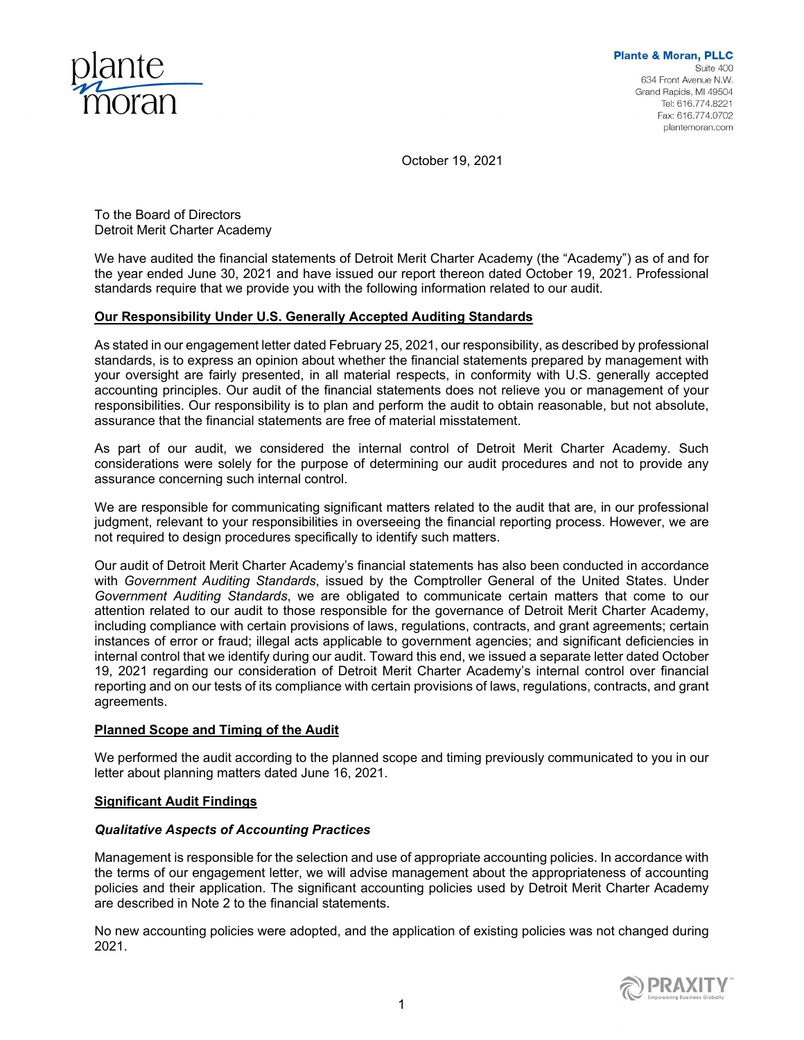

October 19, 2021

To the Board of Directors Detroit Merit Charter Academy

We have audited the financial statements of Detroit Merit Charter Academy (the "Academy") as of and for the year ended June 30, 2021 and have issued our report thereon dated October 19, 2021. Professional standards require that we provide you with the following information related to our audit.

## **Our Responsibility Under U.S. Generally Accepted Auditing Standards**

As stated in our engagement letter dated February 25, 2021, our responsibility, as described by professional standards, is to express an opinion about whether the financial statements prepared by management with your oversight are fairly presented, in all material respects, in conformity with U.S. generally accepted accounting principles. Our audit of the financial statements does not relieve you or management of your responsibilities. Our responsibility is to plan and perform the audit to obtain reasonable, but not absolute, assurance that the financial statements are free of material misstatement.

As part of our audit, we considered the internal control of Detroit Merit Charter Academy. Such considerations were solely for the purpose of determining our audit procedures and not to provide any assurance concerning such internal control.

We are responsible for communicating significant matters related to the audit that are, in our professional judgment, relevant to your responsibilities in overseeing the financial reporting process. However, we are not required to design procedures specifically to identify such matters.

Our audit of Detroit Merit Charter Academy's financial statements has also been conducted in accordance with *Government Auditing Standards*, issued by the Comptroller General of the United States. Under *Government Auditing Standards*, we are obligated to communicate certain matters that come to our attention related to our audit to those responsible for the governance of Detroit Merit Charter Academy, including compliance with certain provisions of laws, regulations, contracts, and grant agreements; certain instances of error or fraud; illegal acts applicable to government agencies; and significant deficiencies in internal control that we identify during our audit. Toward this end, we issued a separate letter dated October 19, 2021 regarding our consideration of Detroit Merit Charter Academy's internal control over financial reporting and on our tests of its compliance with certain provisions of laws, regulations, contracts, and grant agreements.

# **Planned Scope and Timing of the Audit**

We performed the audit according to the planned scope and timing previously communicated to you in our letter about planning matters dated June 16, 2021.

## **Significant Audit Findings**

## *Qualitative Aspects of Accounting Practices*

Management is responsible for the selection and use of appropriate accounting policies. In accordance with the terms of our engagement letter, we will advise management about the appropriateness of accounting policies and their application. The significant accounting policies used by Detroit Merit Charter Academy are described in Note 2 to the financial statements.

No new accounting policies were adopted, and the application of existing policies was not changed during 2021.

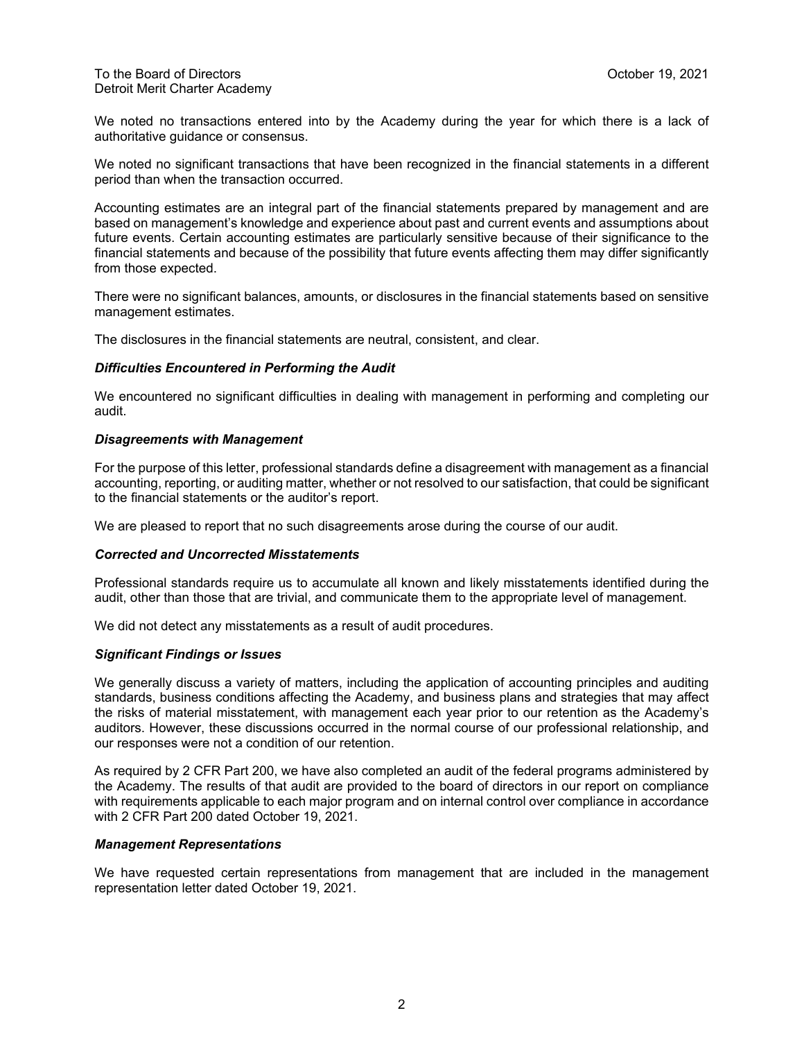We noted no transactions entered into by the Academy during the year for which there is a lack of authoritative guidance or consensus.

We noted no significant transactions that have been recognized in the financial statements in a different period than when the transaction occurred.

Accounting estimates are an integral part of the financial statements prepared by management and are based on management's knowledge and experience about past and current events and assumptions about future events. Certain accounting estimates are particularly sensitive because of their significance to the financial statements and because of the possibility that future events affecting them may differ significantly from those expected.

There were no significant balances, amounts, or disclosures in the financial statements based on sensitive management estimates.

The disclosures in the financial statements are neutral, consistent, and clear.

### *Difficulties Encountered in Performing the Audit*

We encountered no significant difficulties in dealing with management in performing and completing our audit.

### *Disagreements with Management*

For the purpose of this letter, professional standards define a disagreement with management as a financial accounting, reporting, or auditing matter, whether or not resolved to our satisfaction, that could be significant to the financial statements or the auditor's report.

We are pleased to report that no such disagreements arose during the course of our audit.

#### *Corrected and Uncorrected Misstatements*

Professional standards require us to accumulate all known and likely misstatements identified during the audit, other than those that are trivial, and communicate them to the appropriate level of management.

We did not detect any misstatements as a result of audit procedures.

## *Significant Findings or Issues*

We generally discuss a variety of matters, including the application of accounting principles and auditing standards, business conditions affecting the Academy, and business plans and strategies that may affect the risks of material misstatement, with management each year prior to our retention as the Academy's auditors. However, these discussions occurred in the normal course of our professional relationship, and our responses were not a condition of our retention.

As required by 2 CFR Part 200, we have also completed an audit of the federal programs administered by the Academy. The results of that audit are provided to the board of directors in our report on compliance with requirements applicable to each major program and on internal control over compliance in accordance with 2 CFR Part 200 dated October 19, 2021.

#### *Management Representations*

We have requested certain representations from management that are included in the management representation letter dated October 19, 2021.